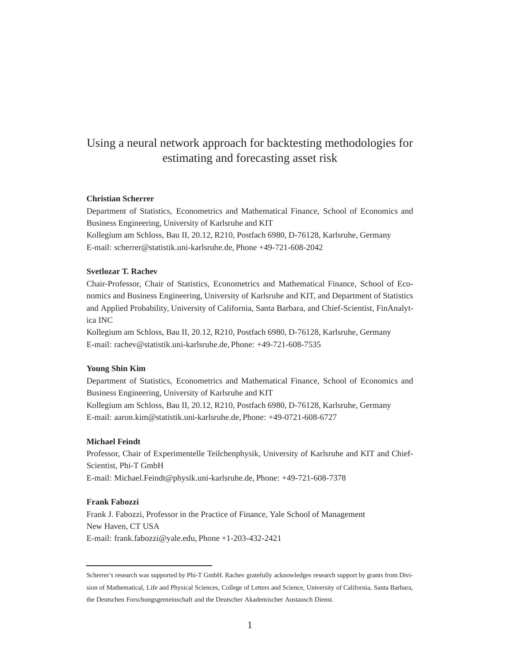## Using a neural network approach for backtesting methodologies for estimating and forecasting asset risk

## **Christian Scherrer**

Department of Statistics, Econometrics and Mathematical Finance, School of Economics and Business Engineering, University of Karlsruhe and KIT

Kollegium am Schloss, Bau II, 20.12, R210, Postfach 6980, D-76128, Karlsruhe, Germany E-mail: scherrer@statistik.uni-karlsruhe.de, Phone +49-721-608-2042

#### **Svetlozar T. Rachev**

Chair-Professor, Chair of Statistics, Econometrics and Mathematical Finance, School of Economics and Business Engineering, University of Karlsruhe and KIT, and Department of Statistics and Applied Probability, University of California, Santa Barbara, and Chief-Scientist, FinAnalytica INC

Kollegium am Schloss, Bau II, 20.12, R210, Postfach 6980, D-76128, Karlsruhe, Germany E-mail: rachev@statistik.uni-karlsruhe.de, Phone: +49-721-608-7535

### **Young Shin Kim**

Department of Statistics, Econometrics and Mathematical Finance, School of Economics and Business Engineering, University of Karlsruhe and KIT Kollegium am Schloss, Bau II, 20.12, R210, Postfach 6980, D-76128, Karlsruhe, Germany E-mail: aaron.kim@statistik.uni-karlsruhe.de, Phone: +49-0721-608-6727

#### **Michael Feindt**

Professor, Chair of Experimentelle Teilchenphysik, University of Karlsruhe and KIT and Chief-Scientist, Phi-T GmbH E-mail: Michael.Feindt@physik.uni-karlsruhe.de, Phone: +49-721-608-7378

#### **Frank Fabozzi**

Frank J. Fabozzi, Professor in the Practice of Finance, Yale School of Management New Haven, CT USA E-mail: frank.fabozzi@yale.edu, Phone +1-203-432-2421

Scherrer's research was supported by Phi-T GmbH. Rachev gratefully acknowledges research support by grants from Division of Mathematical, Life and Physical Sciences, College of Letters and Science, University of California, Santa Barbara,

the Deutschen Forschungsgemeinschaft and the Deutscher Akademischer Austausch Dienst.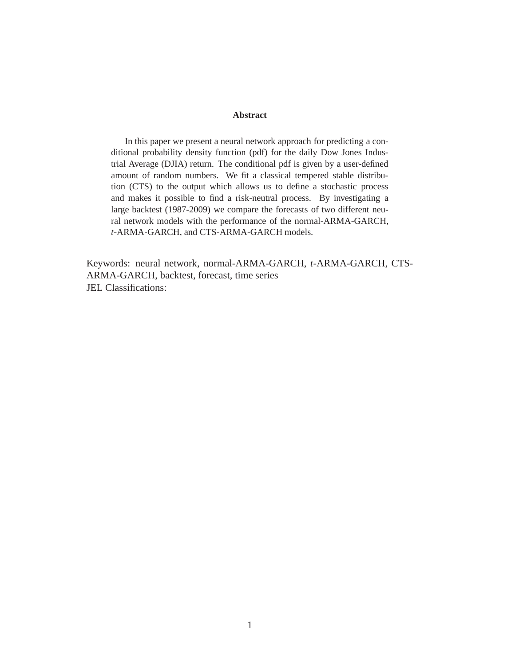## **Abstract**

In this paper we present a neural network approach for predicting a conditional probability density function (pdf) for the daily Dow Jones Industrial Average (DJIA) return. The conditional pdf is given by a user-defined amount of random numbers. We fit a classical tempered stable distribution (CTS) to the output which allows us to define a stochastic process and makes it possible to find a risk-neutral process. By investigating a large backtest (1987-2009) we compare the forecasts of two different neural network models with the performance of the normal-ARMA-GARCH, *t*-ARMA-GARCH, and CTS-ARMA-GARCH models.

Keywords: neural network, normal-ARMA-GARCH, *t*-ARMA-GARCH, CTS-ARMA-GARCH, backtest, forecast, time series JEL Classifications: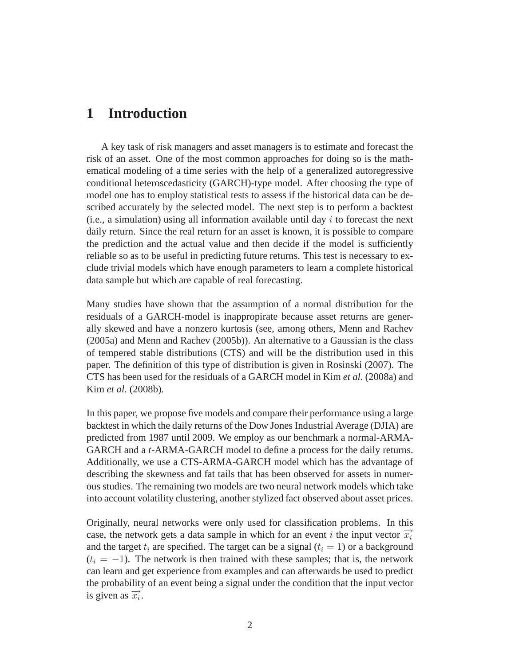# **1 Introduction**

A key task of risk managers and asset managers is to estimate and forecast the risk of an asset. One of the most common approaches for doing so is the mathematical modeling of a time series with the help of a generalized autoregressive conditional heteroscedasticity (GARCH)-type model. After choosing the type of model one has to employ statistical tests to assess if the historical data can be described accurately by the selected model. The next step is to perform a backtest (i.e., a simulation) using all information available until day  $i$  to forecast the next daily return. Since the real return for an asset is known, it is possible to compare the prediction and the actual value and then decide if the model is sufficiently reliable so as to be useful in predicting future returns. This test is necessary to exclude trivial models which have enough parameters to learn a complete historical data sample but which are capable of real forecasting.

Many studies have shown that the assumption of a normal distribution for the residuals of a GARCH-model is inappropirate because asset returns are generally skewed and have a nonzero kurtosis (see, among others, Menn and Rachev (2005a) and Menn and Rachev (2005b)). An alternative to a Gaussian is the class of tempered stable distributions (CTS) and will be the distribution used in this paper. The definition of this type of distribution is given in Rosinski (2007). The CTS has been used for the residuals of a GARCH model in Kim *et al.* (2008a) and Kim *et al.* (2008b).

In this paper, we propose five models and compare their performance using a large backtest in which the daily returns of the Dow Jones Industrial Average (DJIA) are predicted from 1987 until 2009. We employ as our benchmark a normal-ARMA-GARCH and a *t*-ARMA-GARCH model to define a process for the daily returns. Additionally, we use a CTS-ARMA-GARCH model which has the advantage of describing the skewness and fat tails that has been observed for assets in numerous studies. The remaining two models are two neural network models which take into account volatility clustering, another stylized fact observed about asset prices.

Originally, neural networks were only used for classification problems. In this case, the network gets a data sample in which for an event i the input vector  $\overrightarrow{x_i}$ and the target  $t_i$  are specified. The target can be a signal ( $t_i = 1$ ) or a background  $(t<sub>i</sub> = -1)$ . The network is then trained with these samples; that is, the network can learn and get experience from examples and can afterwards be used to predict the probability of an event being a signal under the condition that the input vector is given as  $\overrightarrow{x_i}$ .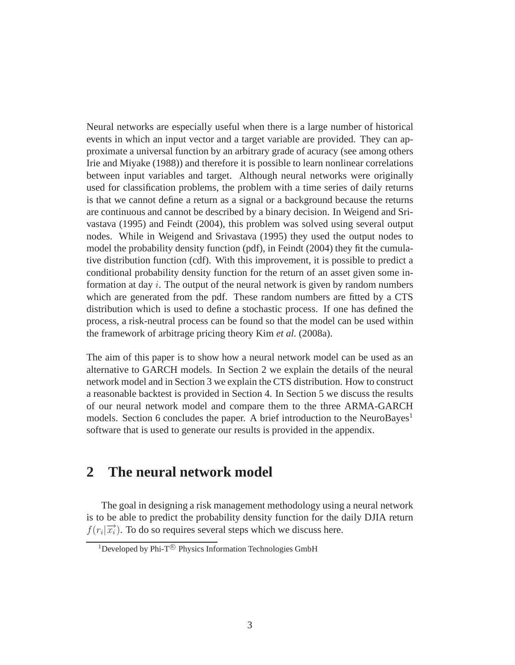Neural networks are especially useful when there is a large number of historical events in which an input vector and a target variable are provided. They can approximate a universal function by an arbitrary grade of acuracy (see among others Irie and Miyake (1988)) and therefore it is possible to learn nonlinear correlations between input variables and target. Although neural networks were originally used for classification problems, the problem with a time series of daily returns is that we cannot define a return as a signal or a background because the returns are continuous and cannot be described by a binary decision. In Weigend and Srivastava (1995) and Feindt (2004), this problem was solved using several output nodes. While in Weigend and Srivastava (1995) they used the output nodes to model the probability density function (pdf), in Feindt (2004) they fit the cumulative distribution function (cdf). With this improvement, it is possible to predict a conditional probability density function for the return of an asset given some information at day  $i$ . The output of the neural network is given by random numbers which are generated from the pdf. These random numbers are fitted by a CTS distribution which is used to define a stochastic process. If one has defined the process, a risk-neutral process can be found so that the model can be used within the framework of arbitrage pricing theory Kim *et al.* (2008a).

The aim of this paper is to show how a neural network model can be used as an alternative to GARCH models. In Section 2 we explain the details of the neural network model and in Section 3 we explain the CTS distribution. How to construct a reasonable backtest is provided in Section 4. In Section 5 we discuss the results of our neural network model and compare them to the three ARMA-GARCH models. Section 6 concludes the paper. A brief introduction to the NeuroBayes<sup>1</sup> software that is used to generate our results is provided in the appendix.

# **2 The neural network model**

The goal in designing a risk management methodology using a neural network is to be able to predict the probability density function for the daily DJIA return  $f(r_i|\vec{x})$ . To do so requires several steps which we discuss here.

<sup>&</sup>lt;sup>1</sup>Developed by Phi-T<sup>®</sup> Physics Information Technologies GmbH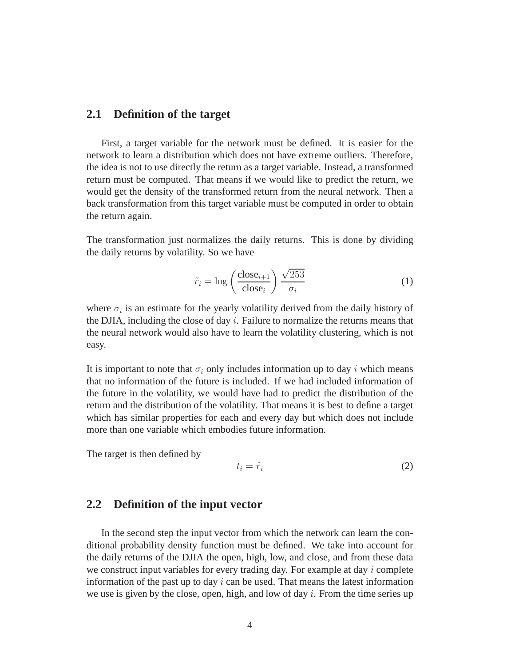## **2.1 Definition of the target**

First, a target variable for the network must be defined. It is easier for the network to learn a distribution which does not have extreme outliers. Therefore, the idea is not to use directly the return as a target variable. Instead, a transformed return must be computed. That means if we would like to predict the return, we would get the density of the transformed return from the neural network. Then a back transformation from this target variable must be computed in order to obtain the return again.

The transformation just normalizes the daily returns. This is done by dividing the daily returns by volatility. So we have

$$
\tilde{r}_i = \log\left(\frac{\text{close}_{i+1}}{\text{close}_i}\right) \frac{\sqrt{253}}{\sigma_i} \tag{1}
$$

where  $\sigma_i$  is an estimate for the yearly volatility derived from the daily history of the DJIA, including the close of day  $i$ . Failure to normalize the returns means that the neural network would also have to learn the volatility clustering, which is not easy.

It is important to note that  $\sigma_i$  only includes information up to day i which means that no information of the future is included. If we had included information of the future in the volatility, we would have had to predict the distribution of the return and the distribution of the volatility. That means it is best to define a target which has similar properties for each and every day but which does not include more than one variable which embodies future information.

The target is then defined by

$$
t_i = \tilde{r_i} \tag{2}
$$

## **2.2 Definition of the input vector**

In the second step the input vector from which the network can learn the conditional probability density function must be defined. We take into account for the daily returns of the DJIA the open, high, low, and close, and from these data we construct input variables for every trading day. For example at day  $i$  complete information of the past up to day  $i$  can be used. That means the latest information we use is given by the close, open, high, and low of day  $i$ . From the time series up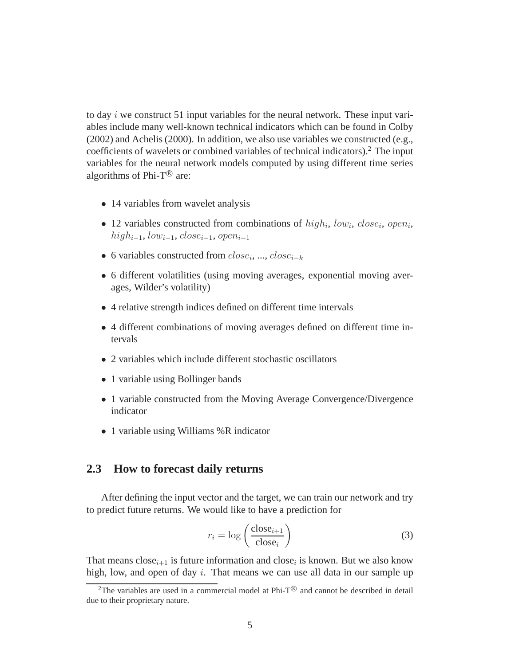to day  $i$  we construct 51 input variables for the neural network. These input variables include many well-known technical indicators which can be found in Colby (2002) and Achelis (2000). In addition, we also use variables we constructed (e.g., coefficients of wavelets or combined variables of technical indicators).<sup>2</sup> The input variables for the neural network models computed by using different time series algorithms of Phi-T $^{\circledR}$  are:

- 14 variables from wavelet analysis
- 12 variables constructed from combinations of  $high_i, low_i, close_i, open_i$ , high<sub>i−1</sub>, low<sub>i−1</sub>, close<sub>i−1</sub>, open<sub>i−1</sub>
- 6 variables constructed from  $close_i$ , ...,  $close_{i-k}$
- 6 different volatilities (using moving averages, exponential moving averages, Wilder's volatility)
- 4 relative strength indices defined on different time intervals
- 4 different combinations of moving averages defined on different time intervals
- 2 variables which include different stochastic oscillators
- 1 variable using Bollinger bands
- 1 variable constructed from the Moving Average Convergence/Divergence indicator
- 1 variable using Williams %R indicator

## **2.3 How to forecast daily returns**

After defining the input vector and the target, we can train our network and try to predict future returns. We would like to have a prediction for

$$
r_i = \log\left(\frac{\text{close}_{i+1}}{\text{close}_i}\right) \tag{3}
$$

That means close<sub>i+1</sub> is future information and close<sub>i</sub> is known. But we also know high, low, and open of day  $i$ . That means we can use all data in our sample up

<sup>&</sup>lt;sup>2</sup>The variables are used in a commercial model at Phi- $T^{\textcircled{e}}$  and cannot be described in detail due to their proprietary nature.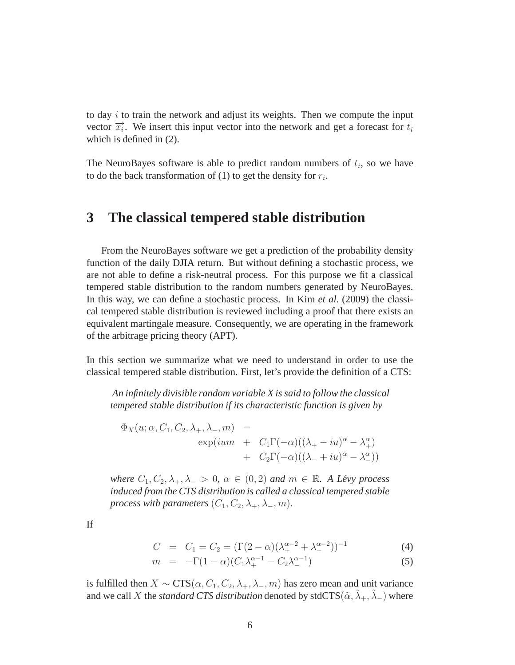to day  $i$  to train the network and adjust its weights. Then we compute the input vector  $\overrightarrow{x_i}$ . We insert this input vector into the network and get a forecast for  $t_i$ which is defined in (2).

The NeuroBayes software is able to predict random numbers of  $t_i$ , so we have to do the back transformation of (1) to get the density for  $r_i$ .

## **3 The classical tempered stable distribution**

From the NeuroBayes software we get a prediction of the probability density function of the daily DJIA return. But without defining a stochastic process, we are not able to define a risk-neutral process. For this purpose we fit a classical tempered stable distribution to the random numbers generated by NeuroBayes. In this way, we can define a stochastic process. In Kim *et al.* (2009) the classical tempered stable distribution is reviewed including a proof that there exists an equivalent martingale measure. Consequently, we are operating in the framework of the arbitrage pricing theory (APT).

In this section we summarize what we need to understand in order to use the classical tempered stable distribution. First, let's provide the definition of a CTS:

*An infinitely divisible random variable X is said to follow the classical tempered stable distribution if its characteristic function is given by*

$$
\Phi_X(u; \alpha, C_1, C_2, \lambda_+, \lambda_-, m) =
$$
  
\n
$$
\exp(ium + C_1\Gamma(-\alpha)((\lambda_+ - iu)^{\alpha} - \lambda_+^{\alpha})
$$
  
\n
$$
+ C_2\Gamma(-\alpha)((\lambda_- + iu)^{\alpha} - \lambda_-^{\alpha}))
$$

*where*  $C_1, C_2, \lambda_+, \lambda_- > 0$ ,  $\alpha \in (0, 2)$  *and*  $m \in \mathbb{R}$ *. A Lévy process induced from the CTS distribution is called a classical tempered stable process with parameters*  $(C_1, C_2, \lambda_+, \lambda_-, m)$ .

If

$$
C = C_1 = C_2 = (\Gamma(2 - \alpha)(\lambda_+^{\alpha - 2} + \lambda_-^{\alpha - 2}))^{-1}
$$
 (4)

$$
m = -\Gamma(1 - \alpha)(C_1 \lambda_+^{\alpha - 1} - C_2 \lambda_-^{\alpha - 1})
$$
\n(5)

is fulfilled then  $X \sim \text{CTS}(\alpha, C_1, C_2, \lambda_+, \lambda_-, m)$  has zero mean and unit variance and we call X the *standard CTS distribution* denoted by stdCTS( $\tilde{\alpha}, \tilde{\lambda}_+, \tilde{\lambda}_-$ ) where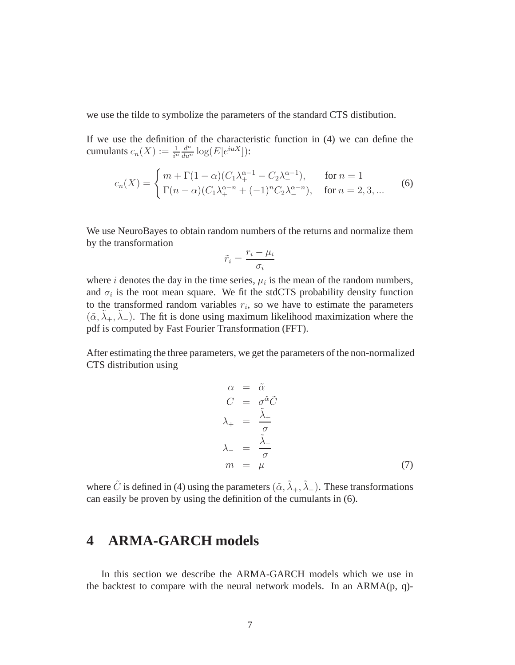we use the tilde to symbolize the parameters of the standard CTS distibution.

If we use the definition of the characteristic function in (4) we can define the cumulants  $c_n(X) := \frac{1}{i^n} \frac{d^n}{du^n} \log(E[e^{iuX}])$ :

$$
c_n(X) = \begin{cases} m + \Gamma(1 - \alpha)(C_1 \lambda_+^{\alpha - 1} - C_2 \lambda_-^{\alpha - 1}), & \text{for } n = 1\\ \Gamma(n - \alpha)(C_1 \lambda_+^{\alpha - n} + (-1)^n C_2 \lambda_-^{\alpha - n}), & \text{for } n = 2, 3, ... \end{cases}
$$
(6)

We use NeuroBayes to obtain random numbers of the returns and normalize them by the transformation

$$
\tilde{r}_i = \frac{r_i - \mu_i}{\sigma_i}
$$

where *i* denotes the day in the time series,  $\mu_i$  is the mean of the random numbers, and  $\sigma_i$  is the root mean square. We fit the stdCTS probability density function to the transformed random variables  $r_i$ , so we have to estimate the parameters  $(\tilde{\alpha}, \tilde{\lambda}_+, \tilde{\lambda}_-)$ . The fit is done using maximum likelihood maximization where the pdf is computed by Fast Fourier Transformation (FFT).

After estimating the three parameters, we get the parameters of the non-normalized CTS distribution using

$$
\alpha = \tilde{\alpha}
$$
  
\n
$$
C = \sigma^{\tilde{\alpha}} \tilde{C}
$$
  
\n
$$
\lambda_{+} = \frac{\tilde{\lambda}_{+}}{\sigma}
$$
  
\n
$$
\lambda_{-} = \frac{\tilde{\lambda}_{-}}{\sigma}
$$
  
\n
$$
m = \mu
$$
 (7)

where  $\tilde{C}$  is defined in (4) using the parameters  $(\tilde{\alpha}, \tilde{\lambda}_+, \tilde{\lambda}_-)$ . These transformations can easily be proven by using the definition of the cumulants in (6).

# **4 ARMA-GARCH models**

In this section we describe the ARMA-GARCH models which we use in the backtest to compare with the neural network models. In an ARMA(p, q)-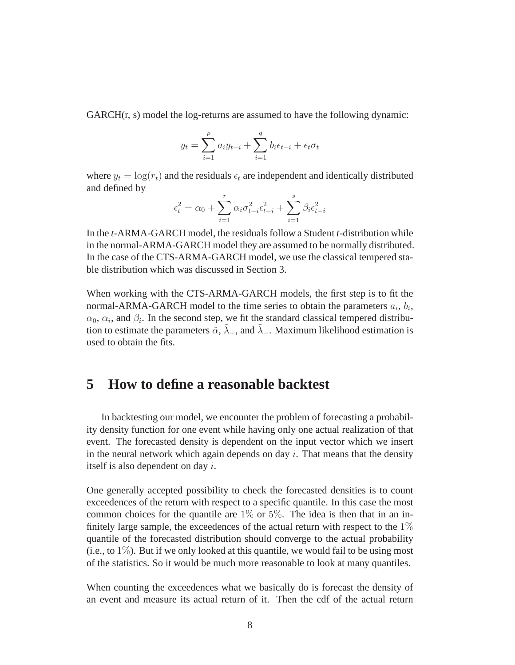GARCH(r, s) model the log-returns are assumed to have the following dynamic:

$$
y_{t} = \sum_{i=1}^{p} a_{i} y_{t-i} + \sum_{i=1}^{q} b_{i} \epsilon_{t-i} + \epsilon_{t} \sigma_{t}
$$

where  $y_t = \log(r_t)$  and the residuals  $\epsilon_t$  are independent and identically distributed and defined by

$$
\epsilon_t^2 = \alpha_0 + \sum_{i=1}^r \alpha_i \sigma_{t-i}^2 \epsilon_{t-i}^2 + \sum_{i=1}^s \beta_i \epsilon_{t-i}^2
$$

In the *t*-ARMA-GARCH model, the residuals follow a Student *t*-distribution while in the normal-ARMA-GARCH model they are assumed to be normally distributed. In the case of the CTS-ARMA-GARCH model, we use the classical tempered stable distribution which was discussed in Section 3.

When working with the CTS-ARMA-GARCH models, the first step is to fit the normal-ARMA-GARCH model to the time series to obtain the parameters  $a_i$ ,  $b_i$ ,  $\alpha_0$ ,  $\alpha_i$ , and  $\beta_i$ . In the second step, we fit the standard classical tempered distribution to estimate the parameters  $\tilde{\alpha}$ ,  $\tilde{\lambda}_+$ , and  $\tilde{\lambda}_-$ . Maximum likelihood estimation is used to obtain the fits.

## **5 How to define a reasonable backtest**

In backtesting our model, we encounter the problem of forecasting a probability density function for one event while having only one actual realization of that event. The forecasted density is dependent on the input vector which we insert in the neural network which again depends on day  $i$ . That means that the density itself is also dependent on day i.

One generally accepted possibility to check the forecasted densities is to count exceedences of the return with respect to a specific quantile. In this case the most common choices for the quantile are  $1\%$  or  $5\%$ . The idea is then that in an infinitely large sample, the exceedences of the actual return with respect to the  $1\%$ quantile of the forecasted distribution should converge to the actual probability  $(i.e., to 1\%)$ . But if we only looked at this quantile, we would fail to be using most of the statistics. So it would be much more reasonable to look at many quantiles.

When counting the exceedences what we basically do is forecast the density of an event and measure its actual return of it. Then the cdf of the actual return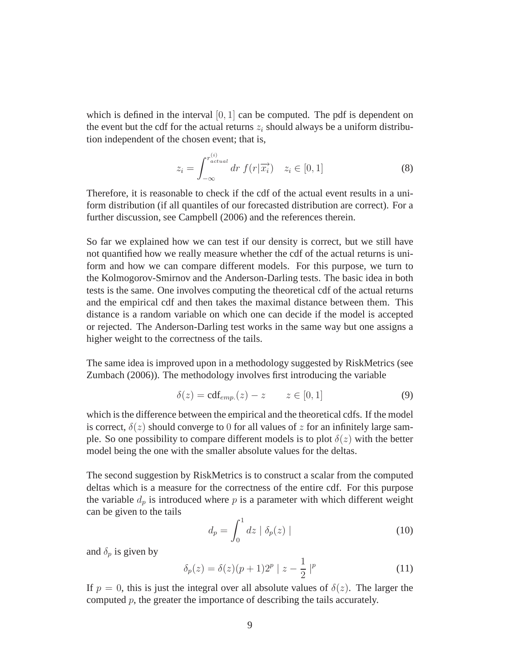which is defined in the interval  $[0, 1]$  can be computed. The pdf is dependent on the event but the cdf for the actual returns  $z_i$  should always be a uniform distribution independent of the chosen event; that is,

$$
z_i = \int_{-\infty}^{r_{actual}^{(i)}} dr \ f(r|\overrightarrow{x_i}) \quad z_i \in [0, 1]
$$
 (8)

Therefore, it is reasonable to check if the cdf of the actual event results in a uniform distribution (if all quantiles of our forecasted distribution are correct). For a further discussion, see Campbell (2006) and the references therein.

So far we explained how we can test if our density is correct, but we still have not quantified how we really measure whether the cdf of the actual returns is uniform and how we can compare different models. For this purpose, we turn to the Kolmogorov-Smirnov and the Anderson-Darling tests. The basic idea in both tests is the same. One involves computing the theoretical cdf of the actual returns and the empirical cdf and then takes the maximal distance between them. This distance is a random variable on which one can decide if the model is accepted or rejected. The Anderson-Darling test works in the same way but one assigns a higher weight to the correctness of the tails.

The same idea is improved upon in a methodology suggested by RiskMetrics (see Zumbach (2006)). The methodology involves first introducing the variable

$$
\delta(z) = \text{cdf}_{emp.}(z) - z \qquad z \in [0, 1] \tag{9}
$$

which is the difference between the empirical and the theoretical cdfs. If the model is correct,  $\delta(z)$  should converge to 0 for all values of z for an infinitely large sample. So one possibility to compare different models is to plot  $\delta(z)$  with the better model being the one with the smaller absolute values for the deltas.

The second suggestion by RiskMetrics is to construct a scalar from the computed deltas which is a measure for the correctness of the entire cdf. For this purpose the variable  $d_p$  is introduced where p is a parameter with which different weight can be given to the tails

$$
d_p = \int_0^1 dz \mid \delta_p(z) \mid \tag{10}
$$

and  $\delta_p$  is given by

$$
\delta_p(z) = \delta(z)(p+1)2^p \mid z - \frac{1}{2} \mid^p \tag{11}
$$

If  $p = 0$ , this is just the integral over all absolute values of  $\delta(z)$ . The larger the computed  $p$ , the greater the importance of describing the tails accurately.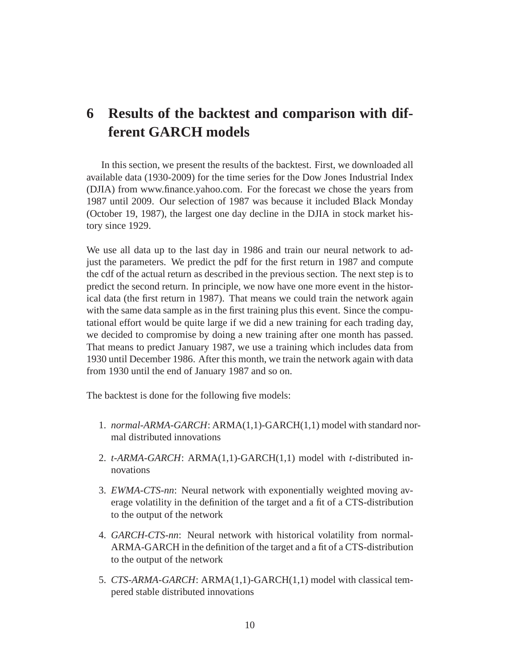# **6 Results of the backtest and comparison with different GARCH models**

In this section, we present the results of the backtest. First, we downloaded all available data (1930-2009) for the time series for the Dow Jones Industrial Index (DJIA) from www.finance.yahoo.com. For the forecast we chose the years from 1987 until 2009. Our selection of 1987 was because it included Black Monday (October 19, 1987), the largest one day decline in the DJIA in stock market history since 1929.

We use all data up to the last day in 1986 and train our neural network to adjust the parameters. We predict the pdf for the first return in 1987 and compute the cdf of the actual return as described in the previous section. The next step is to predict the second return. In principle, we now have one more event in the historical data (the first return in 1987). That means we could train the network again with the same data sample as in the first training plus this event. Since the computational effort would be quite large if we did a new training for each trading day, we decided to compromise by doing a new training after one month has passed. That means to predict January 1987, we use a training which includes data from 1930 until December 1986. After this month, we train the network again with data from 1930 until the end of January 1987 and so on.

The backtest is done for the following five models:

- 1. *normal-ARMA-GARCH*: ARMA(1,1)-GARCH(1,1) model with standard normal distributed innovations
- 2. *t-ARMA-GARCH*: ARMA(1,1)-GARCH(1,1) model with *t*-distributed innovations
- 3. *EWMA-CTS-nn*: Neural network with exponentially weighted moving average volatility in the definition of the target and a fit of a CTS-distribution to the output of the network
- 4. *GARCH-CTS-nn*: Neural network with historical volatility from normal-ARMA-GARCH in the definition of the target and a fit of a CTS-distribution to the output of the network
- 5. *CTS-ARMA-GARCH*: ARMA(1,1)-GARCH(1,1) model with classical tempered stable distributed innovations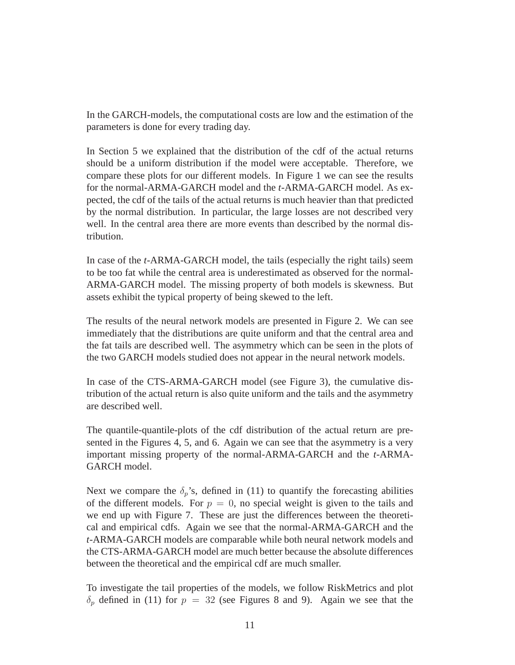In the GARCH-models, the computational costs are low and the estimation of the parameters is done for every trading day.

In Section 5 we explained that the distribution of the cdf of the actual returns should be a uniform distribution if the model were acceptable. Therefore, we compare these plots for our different models. In Figure 1 we can see the results for the normal-ARMA-GARCH model and the *t*-ARMA-GARCH model. As expected, the cdf of the tails of the actual returns is much heavier than that predicted by the normal distribution. In particular, the large losses are not described very well. In the central area there are more events than described by the normal distribution.

In case of the *t*-ARMA-GARCH model, the tails (especially the right tails) seem to be too fat while the central area is underestimated as observed for the normal-ARMA-GARCH model. The missing property of both models is skewness. But assets exhibit the typical property of being skewed to the left.

The results of the neural network models are presented in Figure 2. We can see immediately that the distributions are quite uniform and that the central area and the fat tails are described well. The asymmetry which can be seen in the plots of the two GARCH models studied does not appear in the neural network models.

In case of the CTS-ARMA-GARCH model (see Figure 3), the cumulative distribution of the actual return is also quite uniform and the tails and the asymmetry are described well.

The quantile-quantile-plots of the cdf distribution of the actual return are presented in the Figures 4, 5, and 6. Again we can see that the asymmetry is a very important missing property of the normal-ARMA-GARCH and the *t*-ARMA-GARCH model.

Next we compare the  $\delta_p$ 's, defined in (11) to quantify the forecasting abilities of the different models. For  $p = 0$ , no special weight is given to the tails and we end up with Figure 7. These are just the differences between the theoretical and empirical cdfs. Again we see that the normal-ARMA-GARCH and the *t*-ARMA-GARCH models are comparable while both neural network models and the CTS-ARMA-GARCH model are much better because the absolute differences between the theoretical and the empirical cdf are much smaller.

To investigate the tail properties of the models, we follow RiskMetrics and plot  $\delta_p$  defined in (11) for  $p = 32$  (see Figures 8 and 9). Again we see that the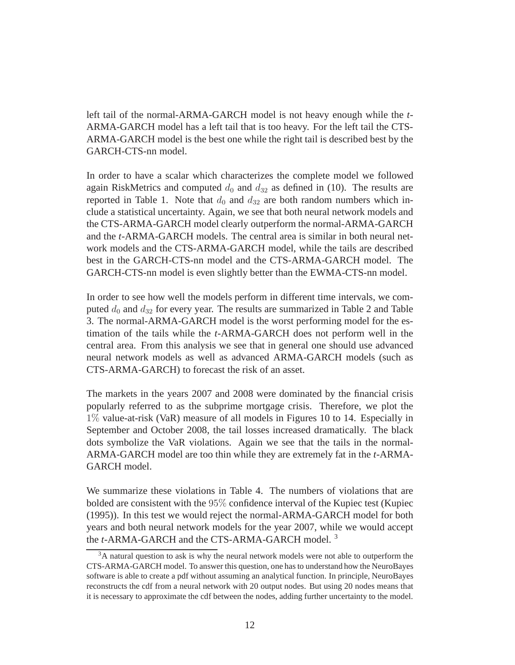left tail of the normal-ARMA-GARCH model is not heavy enough while the *t*-ARMA-GARCH model has a left tail that is too heavy. For the left tail the CTS-ARMA-GARCH model is the best one while the right tail is described best by the GARCH-CTS-nn model.

In order to have a scalar which characterizes the complete model we followed again RiskMetrics and computed  $d_0$  and  $d_{32}$  as defined in (10). The results are reported in Table 1. Note that  $d_0$  and  $d_{32}$  are both random numbers which include a statistical uncertainty. Again, we see that both neural network models and the CTS-ARMA-GARCH model clearly outperform the normal-ARMA-GARCH and the *t*-ARMA-GARCH models. The central area is similar in both neural network models and the CTS-ARMA-GARCH model, while the tails are described best in the GARCH-CTS-nn model and the CTS-ARMA-GARCH model. The GARCH-CTS-nn model is even slightly better than the EWMA-CTS-nn model.

In order to see how well the models perform in different time intervals, we computed  $d_0$  and  $d_{32}$  for every year. The results are summarized in Table 2 and Table 3. The normal-ARMA-GARCH model is the worst performing model for the estimation of the tails while the *t*-ARMA-GARCH does not perform well in the central area. From this analysis we see that in general one should use advanced neural network models as well as advanced ARMA-GARCH models (such as CTS-ARMA-GARCH) to forecast the risk of an asset.

The markets in the years 2007 and 2008 were dominated by the financial crisis popularly referred to as the subprime mortgage crisis. Therefore, we plot the 1% value-at-risk (VaR) measure of all models in Figures 10 to 14. Especially in September and October 2008, the tail losses increased dramatically. The black dots symbolize the VaR violations. Again we see that the tails in the normal-ARMA-GARCH model are too thin while they are extremely fat in the *t*-ARMA-GARCH model.

We summarize these violations in Table 4. The numbers of violations that are bolded are consistent with the 95% confidence interval of the Kupiec test (Kupiec (1995)). In this test we would reject the normal-ARMA-GARCH model for both years and both neural network models for the year 2007, while we would accept the *t*-ARMA-GARCH and the CTS-ARMA-GARCH model. <sup>3</sup>

<sup>&</sup>lt;sup>3</sup>A natural question to ask is why the neural network models were not able to outperform the CTS-ARMA-GARCH model. To answer this question, one has to understand how the NeuroBayes software is able to create a pdf without assuming an analytical function. In principle, NeuroBayes reconstructs the cdf from a neural network with 20 output nodes. But using 20 nodes means that it is necessary to approximate the cdf between the nodes, adding further uncertainty to the model.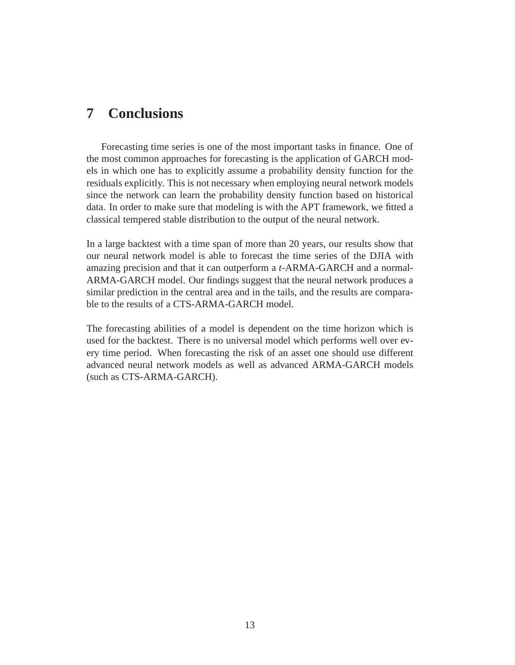# **7 Conclusions**

Forecasting time series is one of the most important tasks in finance. One of the most common approaches for forecasting is the application of GARCH models in which one has to explicitly assume a probability density function for the residuals explicitly. This is not necessary when employing neural network models since the network can learn the probability density function based on historical data. In order to make sure that modeling is with the APT framework, we fitted a classical tempered stable distribution to the output of the neural network.

In a large backtest with a time span of more than 20 years, our results show that our neural network model is able to forecast the time series of the DJIA with amazing precision and that it can outperform a *t*-ARMA-GARCH and a normal-ARMA-GARCH model. Our findings suggest that the neural network produces a similar prediction in the central area and in the tails, and the results are comparable to the results of a CTS-ARMA-GARCH model.

The forecasting abilities of a model is dependent on the time horizon which is used for the backtest. There is no universal model which performs well over every time period. When forecasting the risk of an asset one should use different advanced neural network models as well as advanced ARMA-GARCH models (such as CTS-ARMA-GARCH).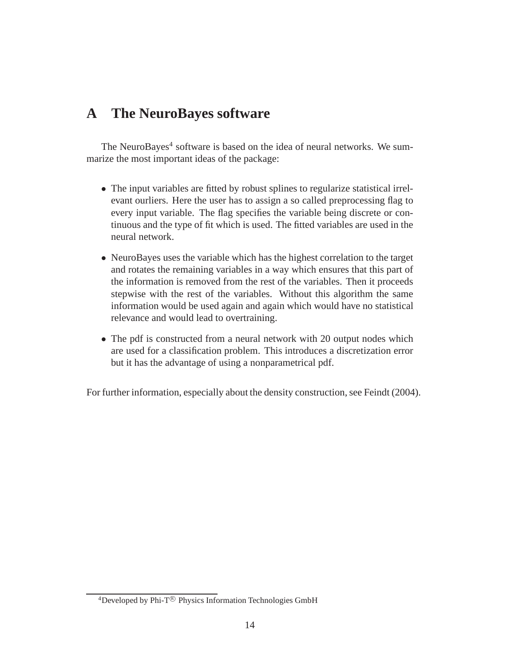# **A The NeuroBayes software**

The NeuroBayes<sup>4</sup> software is based on the idea of neural networks. We summarize the most important ideas of the package:

- The input variables are fitted by robust splines to regularize statistical irrelevant ourliers. Here the user has to assign a so called preprocessing flag to every input variable. The flag specifies the variable being discrete or continuous and the type of fit which is used. The fitted variables are used in the neural network.
- NeuroBayes uses the variable which has the highest correlation to the target and rotates the remaining variables in a way which ensures that this part of the information is removed from the rest of the variables. Then it proceeds stepwise with the rest of the variables. Without this algorithm the same information would be used again and again which would have no statistical relevance and would lead to overtraining.
- The pdf is constructed from a neural network with 20 output nodes which are used for a classification problem. This introduces a discretization error but it has the advantage of using a nonparametrical pdf.

For further information, especially about the density construction, see Feindt (2004).

<sup>&</sup>lt;sup>4</sup>Developed by Phi-T<sup>®</sup> Physics Information Technologies GmbH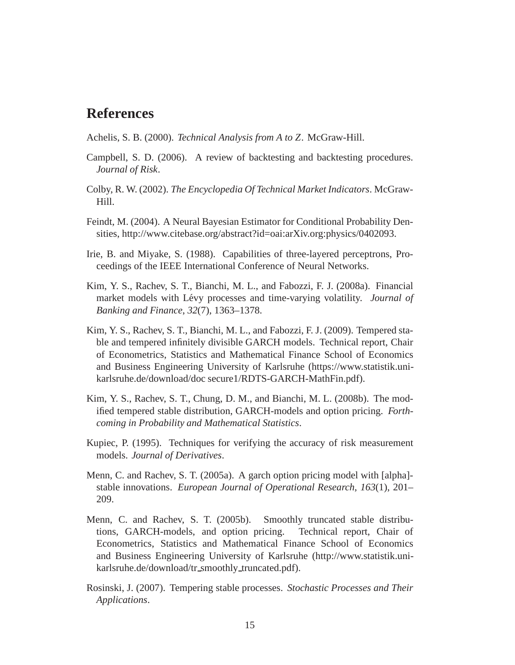# **References**

Achelis, S. B. (2000). *Technical Analysis from A to Z*. McGraw-Hill.

- Campbell, S. D. (2006). A review of backtesting and backtesting procedures. *Journal of Risk*.
- Colby, R. W. (2002). *The Encyclopedia Of Technical Market Indicators*. McGraw-Hill.
- Feindt, M. (2004). A Neural Bayesian Estimator for Conditional Probability Densities, http://www.citebase.org/abstract?id=oai:arXiv.org:physics/0402093.
- Irie, B. and Miyake, S. (1988). Capabilities of three-layered perceptrons, Proceedings of the IEEE International Conference of Neural Networks.
- Kim, Y. S., Rachev, S. T., Bianchi, M. L., and Fabozzi, F. J. (2008a). Financial market models with Lévy processes and time-varying volatility. *Journal of Banking and Finance*, *32*(7), 1363–1378.
- Kim, Y. S., Rachev, S. T., Bianchi, M. L., and Fabozzi, F. J. (2009). Tempered stable and tempered infinitely divisible GARCH models. Technical report, Chair of Econometrics, Statistics and Mathematical Finance School of Economics and Business Engineering University of Karlsruhe (https://www.statistik.unikarlsruhe.de/download/doc secure1/RDTS-GARCH-MathFin.pdf).
- Kim, Y. S., Rachev, S. T., Chung, D. M., and Bianchi, M. L. (2008b). The modified tempered stable distribution, GARCH-models and option pricing. *Forthcoming in Probability and Mathematical Statistics*.
- Kupiec, P. (1995). Techniques for verifying the accuracy of risk measurement models. *Journal of Derivatives*.
- Menn, C. and Rachev, S. T. (2005a). A garch option pricing model with [alpha] stable innovations. *European Journal of Operational Research*, *163*(1), 201– 209.
- Menn, C. and Rachev, S. T. (2005b). Smoothly truncated stable distributions, GARCH-models, and option pricing. Technical report, Chair of Econometrics, Statistics and Mathematical Finance School of Economics and Business Engineering University of Karlsruhe (http://www.statistik.unikarlsruhe.de/download/tr\_smoothly\_truncated.pdf).
- Rosinski, J. (2007). Tempering stable processes. *Stochastic Processes and Their Applications*.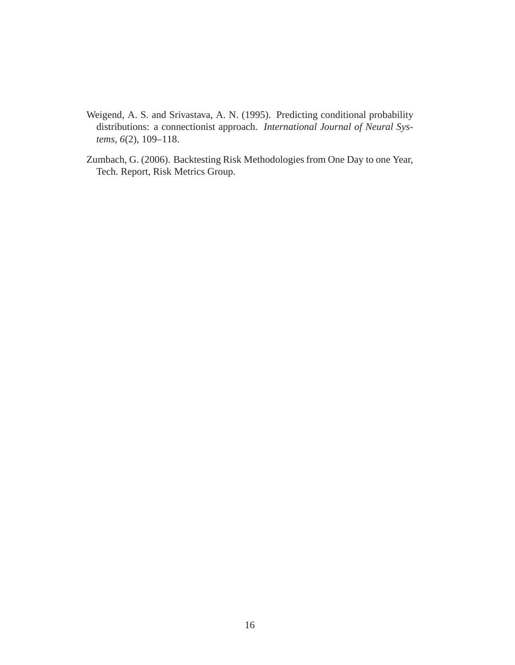- Weigend, A. S. and Srivastava, A. N. (1995). Predicting conditional probability distributions: a connectionist approach. *International Journal of Neural Systems*, *6*(2), 109–118.
- Zumbach, G. (2006). Backtesting Risk Methodologies from One Day to one Year, Tech. Report, Risk Metrics Group.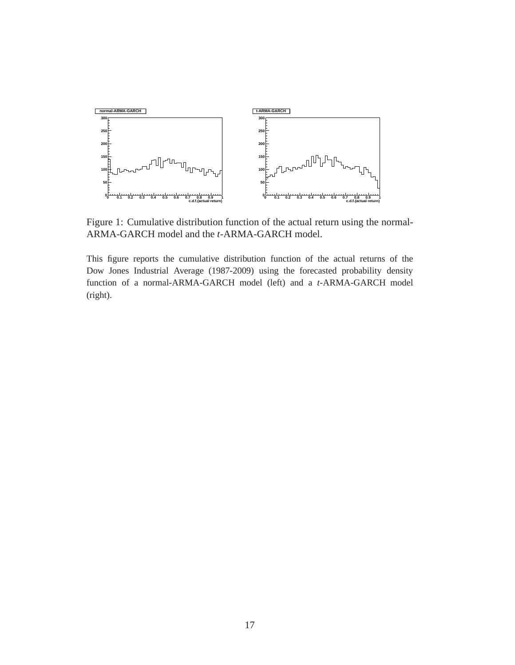

Figure 1: Cumulative distribution function of the actual return using the normal-ARMA-GARCH model and the *t*-ARMA-GARCH model.

This figure reports the cumulative distribution function of the actual returns of the Dow Jones Industrial Average (1987-2009) using the forecasted probability density function of a normal-ARMA-GARCH model (left) and a *t*-ARMA-GARCH model (right).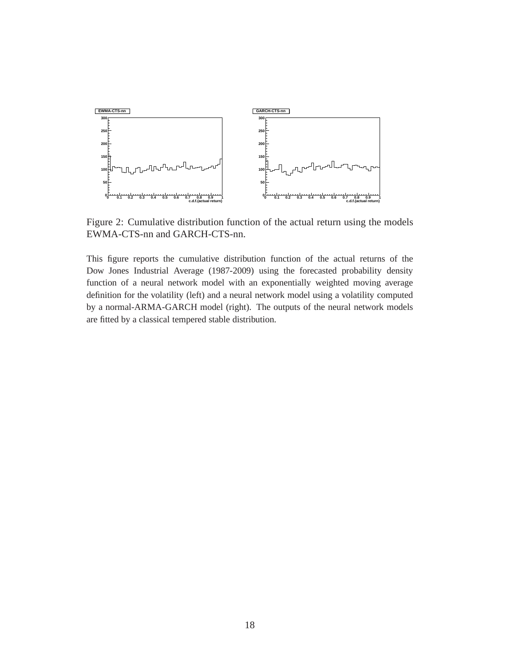

Figure 2: Cumulative distribution function of the actual return using the models EWMA-CTS-nn and GARCH-CTS-nn.

This figure reports the cumulative distribution function of the actual returns of the Dow Jones Industrial Average (1987-2009) using the forecasted probability density function of a neural network model with an exponentially weighted moving average definition for the volatility (left) and a neural network model using a volatility computed by a normal-ARMA-GARCH model (right). The outputs of the neural network models are fitted by a classical tempered stable distribution.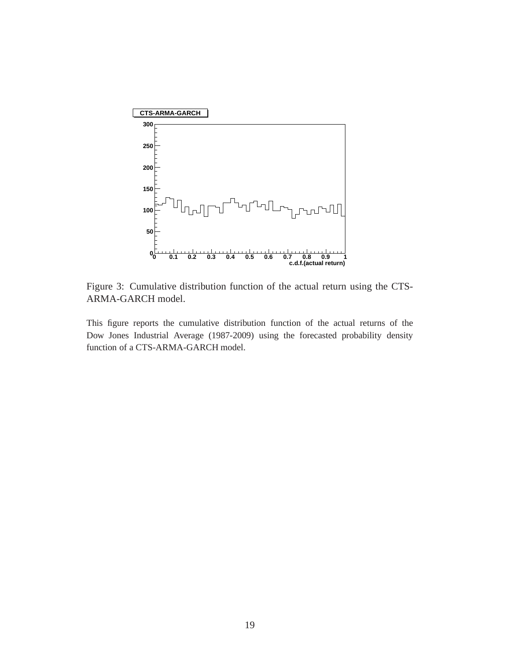

Figure 3: Cumulative distribution function of the actual return using the CTS-ARMA-GARCH model.

This figure reports the cumulative distribution function of the actual returns of the Dow Jones Industrial Average (1987-2009) using the forecasted probability density function of a CTS-ARMA-GARCH model.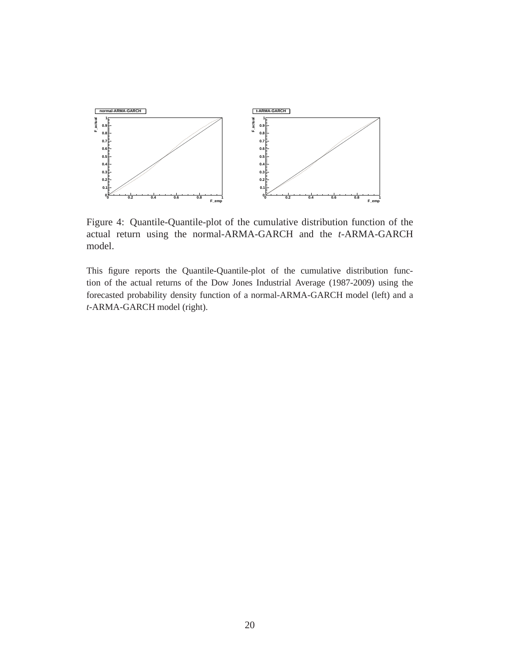

Figure 4: Quantile-Quantile-plot of the cumulative distribution function of the actual return using the normal-ARMA-GARCH and the *t*-ARMA-GARCH model.

This figure reports the Quantile-Quantile-plot of the cumulative distribution function of the actual returns of the Dow Jones Industrial Average (1987-2009) using the forecasted probability density function of a normal-ARMA-GARCH model (left) and a *t*-ARMA-GARCH model (right).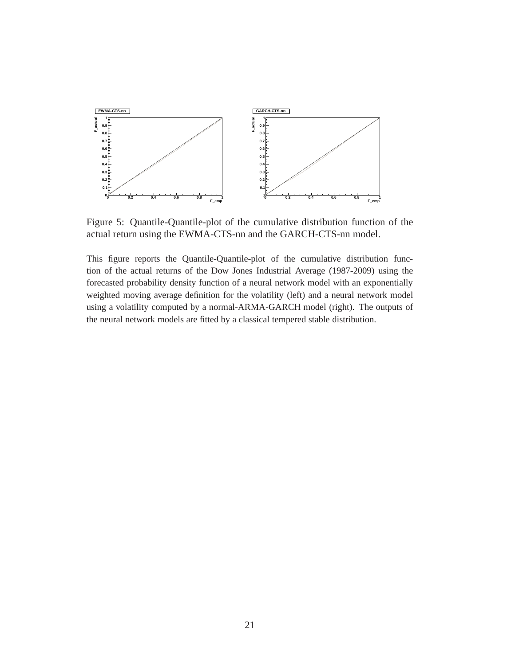

Figure 5: Quantile-Quantile-plot of the cumulative distribution function of the actual return using the EWMA-CTS-nn and the GARCH-CTS-nn model.

This figure reports the Quantile-Quantile-plot of the cumulative distribution function of the actual returns of the Dow Jones Industrial Average (1987-2009) using the forecasted probability density function of a neural network model with an exponentially weighted moving average definition for the volatility (left) and a neural network model using a volatility computed by a normal-ARMA-GARCH model (right). The outputs of the neural network models are fitted by a classical tempered stable distribution.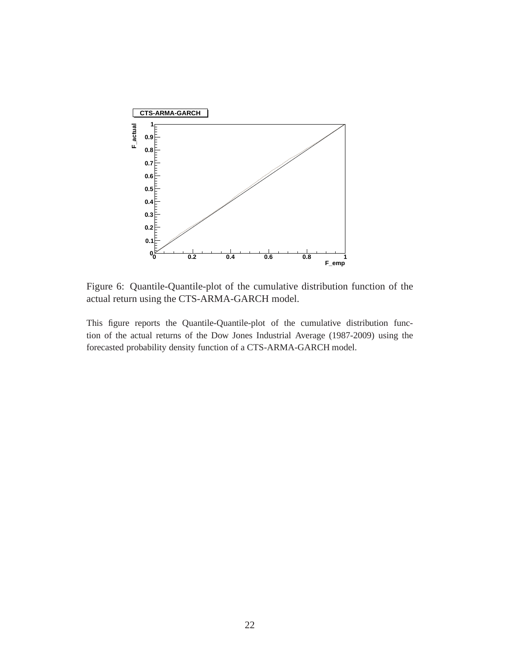

Figure 6: Quantile-Quantile-plot of the cumulative distribution function of the actual return using the CTS-ARMA-GARCH model.

This figure reports the Quantile-Quantile-plot of the cumulative distribution function of the actual returns of the Dow Jones Industrial Average (1987-2009) using the forecasted probability density function of a CTS-ARMA-GARCH model.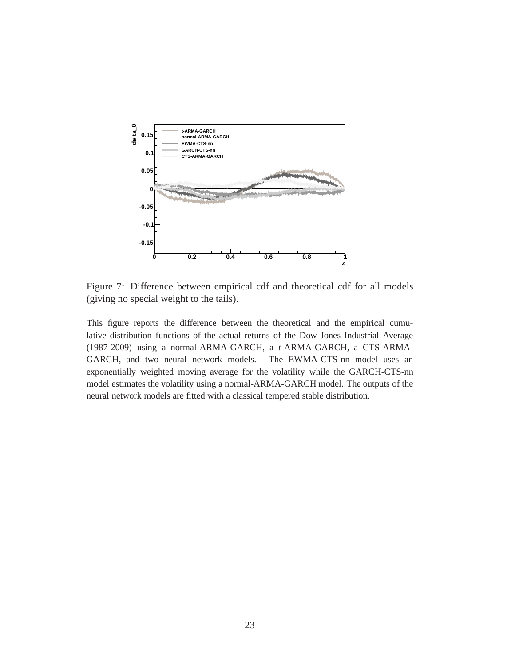

Figure 7: Difference between empirical cdf and theoretical cdf for all models (giving no special weight to the tails).

This figure reports the difference between the theoretical and the empirical cumulative distribution functions of the actual returns of the Dow Jones Industrial Average (1987-2009) using a normal-ARMA-GARCH, a *t*-ARMA-GARCH, a CTS-ARMA-GARCH, and two neural network models. The EWMA-CTS-nn model uses an exponentially weighted moving average for the volatility while the GARCH-CTS-nn model estimates the volatility using a normal-ARMA-GARCH model. The outputs of the neural network models are fitted with a classical tempered stable distribution.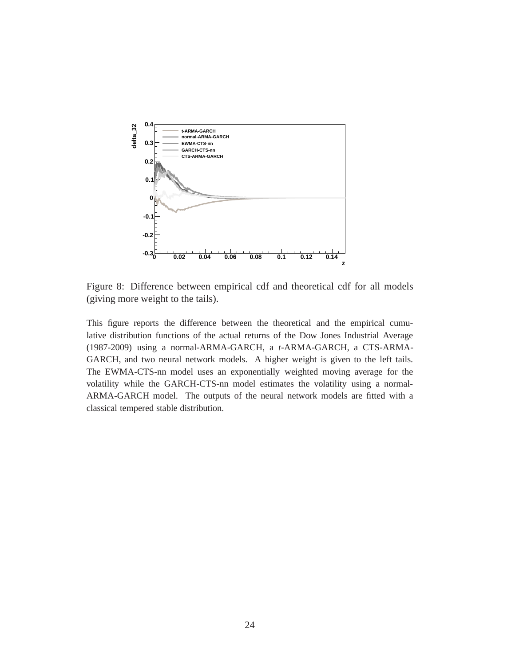

Figure 8: Difference between empirical cdf and theoretical cdf for all models (giving more weight to the tails).

This figure reports the difference between the theoretical and the empirical cumulative distribution functions of the actual returns of the Dow Jones Industrial Average (1987-2009) using a normal-ARMA-GARCH, a *t*-ARMA-GARCH, a CTS-ARMA-GARCH, and two neural network models. A higher weight is given to the left tails. The EWMA-CTS-nn model uses an exponentially weighted moving average for the volatility while the GARCH-CTS-nn model estimates the volatility using a normal-ARMA-GARCH model. The outputs of the neural network models are fitted with a classical tempered stable distribution.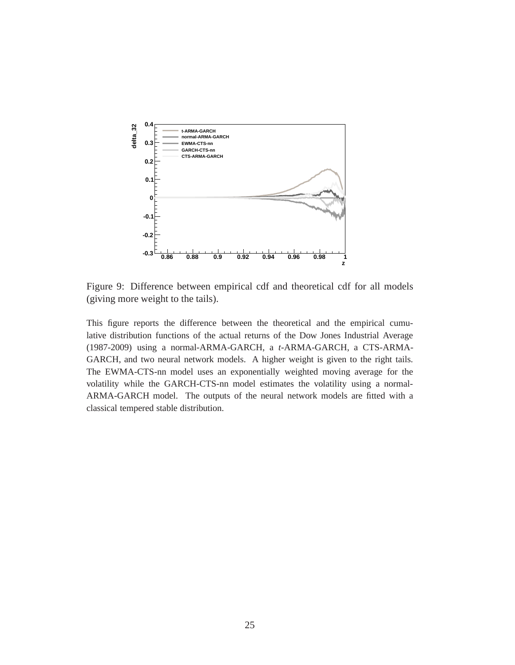

Figure 9: Difference between empirical cdf and theoretical cdf for all models (giving more weight to the tails).

This figure reports the difference between the theoretical and the empirical cumulative distribution functions of the actual returns of the Dow Jones Industrial Average (1987-2009) using a normal-ARMA-GARCH, a *t*-ARMA-GARCH, a CTS-ARMA-GARCH, and two neural network models. A higher weight is given to the right tails. The EWMA-CTS-nn model uses an exponentially weighted moving average for the volatility while the GARCH-CTS-nn model estimates the volatility using a normal-ARMA-GARCH model. The outputs of the neural network models are fitted with a classical tempered stable distribution.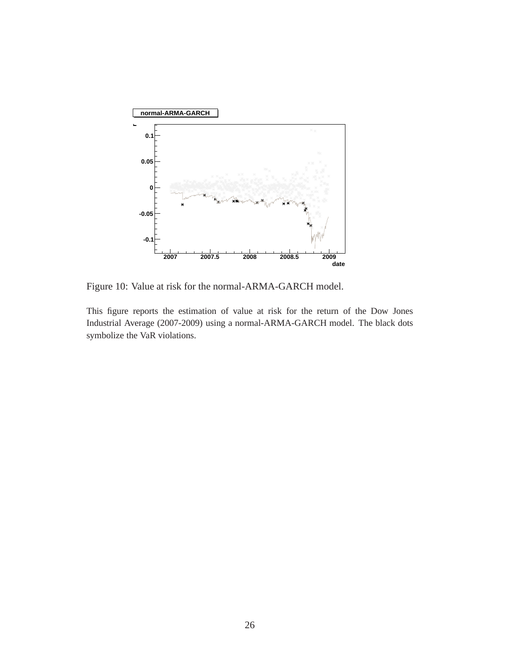

Figure 10: Value at risk for the normal-ARMA-GARCH model.

This figure reports the estimation of value at risk for the return of the Dow Jones Industrial Average (2007-2009) using a normal-ARMA-GARCH model. The black dots symbolize the VaR violations.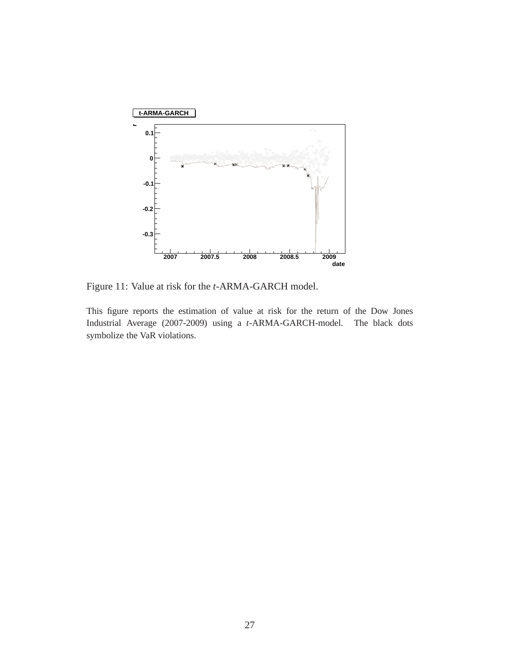

Figure 11: Value at risk for the *t*-ARMA-GARCH model.

This figure reports the estimation of value at risk for the return of the Dow Jones Industrial Average (2007-2009) using a *t*-ARMA-GARCH-model. The black dots symbolize the VaR violations.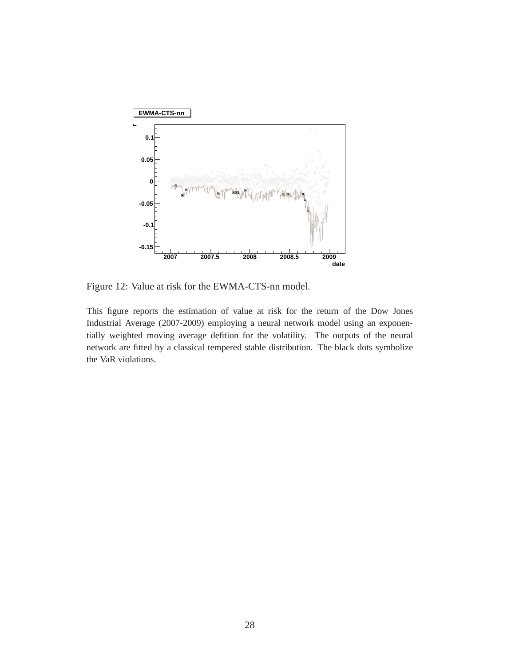

Figure 12: Value at risk for the EWMA-CTS-nn model.

This figure reports the estimation of value at risk for the return of the Dow Jones Industrial Average (2007-2009) employing a neural network model using an exponentially weighted moving average defition for the volatility. The outputs of the neural network are fitted by a classical tempered stable distribution. The black dots symbolize the VaR violations.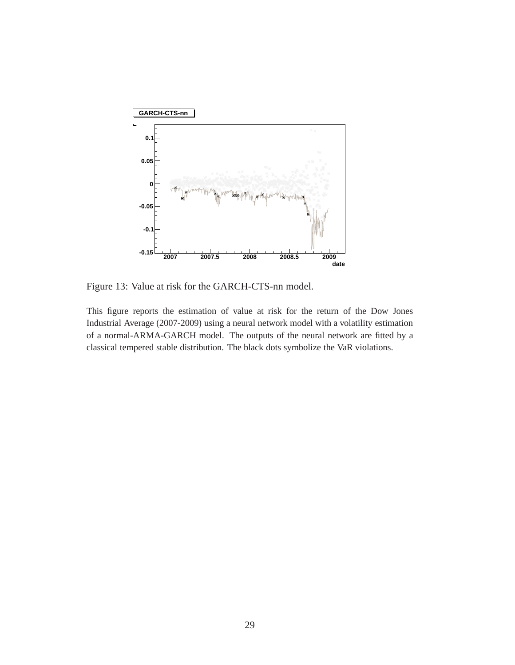

Figure 13: Value at risk for the GARCH-CTS-nn model.

This figure reports the estimation of value at risk for the return of the Dow Jones Industrial Average (2007-2009) using a neural network model with a volatility estimation of a normal-ARMA-GARCH model. The outputs of the neural network are fitted by a classical tempered stable distribution. The black dots symbolize the VaR violations.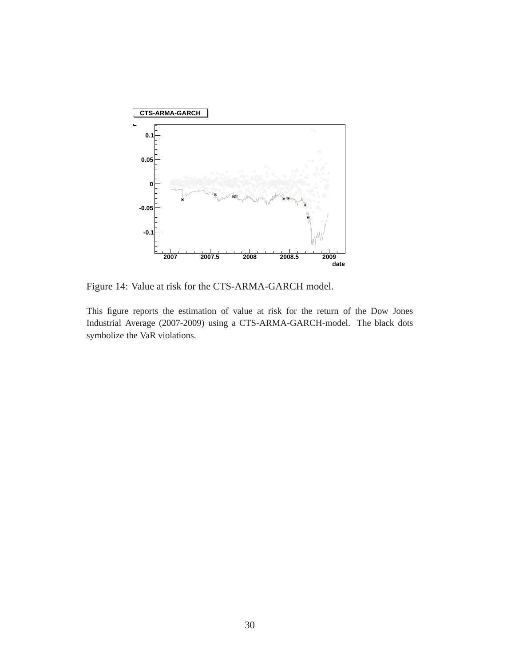

Figure 14: Value at risk for the CTS-ARMA-GARCH model.

This figure reports the estimation of value at risk for the return of the Dow Jones Industrial Average (2007-2009) using a CTS-ARMA-GARCH-model. The black dots symbolize the VaR violations.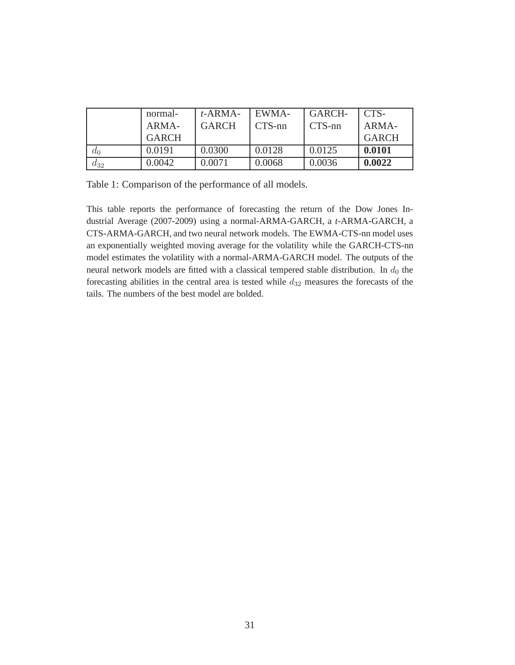|       | normal-      | $t$ -ARMA-   | EWMA-     | GARCH-    | CTS-         |
|-------|--------------|--------------|-----------|-----------|--------------|
|       | ARMA-        | <b>GARCH</b> | $CTS$ -nn | $CTS$ -nn | ARMA-        |
|       | <b>GARCH</b> |              |           |           | <b>GARCH</b> |
| $a_0$ | 0.0191       | 0.0300       | 0.0128    | 0.0125    | 0.0101       |
| а32   | 0.0042       | 0.0071       | 0.0068    | 0.0036    | 0.0022       |

Table 1: Comparison of the performance of all models.

This table reports the performance of forecasting the return of the Dow Jones Industrial Average (2007-2009) using a normal-ARMA-GARCH, a *t*-ARMA-GARCH, a CTS-ARMA-GARCH, and two neural network models. The EWMA-CTS-nn model uses an exponentially weighted moving average for the volatility while the GARCH-CTS-nn model estimates the volatility with a normal-ARMA-GARCH model. The outputs of the neural network models are fitted with a classical tempered stable distribution. In  $d_0$  the forecasting abilities in the central area is tested while  $d_{32}$  measures the forecasts of the tails. The numbers of the best model are bolded.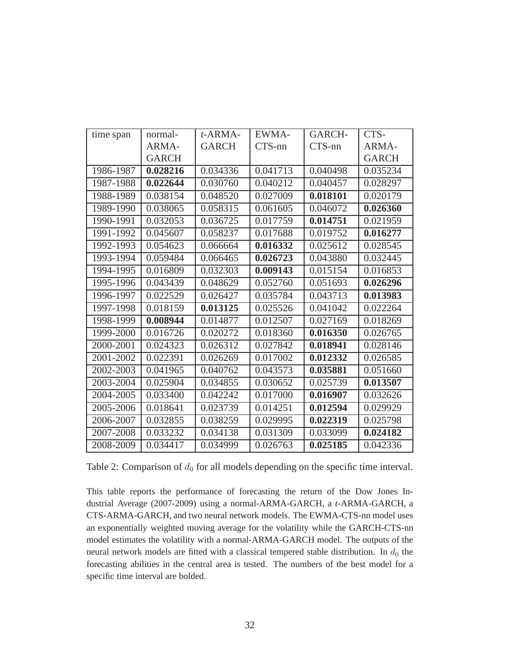| time span | normal-      | $t$ -ARMA-   | EWMA-    | GARCH-    | CTS-         |
|-----------|--------------|--------------|----------|-----------|--------------|
|           | ARMA-        | <b>GARCH</b> | CTS-nn   | $CTS$ -nn | ARMA-        |
|           | <b>GARCH</b> |              |          |           | <b>GARCH</b> |
| 1986-1987 | 0.028216     | 0.034336     | 0.041713 | 0.040498  | 0.035234     |
| 1987-1988 | 0.022644     | 0.030760     | 0.040212 | 0.040457  | 0.028297     |
| 1988-1989 | 0.038154     | 0.048520     | 0.027009 | 0.018101  | 0.020179     |
| 1989-1990 | 0.038065     | 0.058315     | 0.061605 | 0.046072  | 0.026360     |
| 1990-1991 | 0.032053     | 0.036725     | 0.017759 | 0.014751  | 0.021959     |
| 1991-1992 | 0.045607     | 0.058237     | 0.017688 | 0.019752  | 0.016277     |
| 1992-1993 | 0.054623     | 0.066664     | 0.016332 | 0.025612  | 0.028545     |
| 1993-1994 | 0.059484     | 0.066465     | 0.026723 | 0.043880  | 0.032445     |
| 1994-1995 | 0.016809     | 0.032303     | 0.009143 | 0.015154  | 0.016853     |
| 1995-1996 | 0.043439     | 0.048629     | 0.052760 | 0.051693  | 0.026296     |
| 1996-1997 | 0.022529     | 0.026427     | 0.035784 | 0.043713  | 0.013983     |
| 1997-1998 | 0.018159     | 0.013125     | 0.025526 | 0.041042  | 0.022264     |
| 1998-1999 | 0.008944     | 0.014877     | 0.012507 | 0.027169  | 0.018269     |
| 1999-2000 | 0.016726     | 0.020272     | 0.018360 | 0.016350  | 0.026765     |
| 2000-2001 | 0.024323     | 0.026312     | 0.027842 | 0.018941  | 0.028146     |
| 2001-2002 | 0.022391     | 0.026269     | 0.017002 | 0.012332  | 0.026585     |
| 2002-2003 | 0.041965     | 0.040762     | 0.043573 | 0.035881  | 0.051660     |
| 2003-2004 | 0.025904     | 0.034855     | 0.030652 | 0.025739  | 0.013507     |
| 2004-2005 | 0.033400     | 0.042242     | 0.017000 | 0.016907  | 0.032626     |
| 2005-2006 | 0.018641     | 0.023739     | 0.014251 | 0.012594  | 0.029929     |
| 2006-2007 | 0.032855     | 0.038259     | 0.029995 | 0.022319  | 0.025798     |
| 2007-2008 | 0.033232     | 0.034138     | 0.031309 | 0.033099  | 0.024182     |
| 2008-2009 | 0.034417     | 0.034999     | 0.026763 | 0.025185  | 0.042336     |

Table 2: Comparison of  $d_0$  for all models depending on the specific time interval.

This table reports the performance of forecasting the return of the Dow Jones Industrial Average (2007-2009) using a normal-ARMA-GARCH, a *t*-ARMA-GARCH, a CTS-ARMA-GARCH, and two neural network models. The EWMA-CTS-nn model uses an exponentially weighted moving average for the volatility while the GARCH-CTS-nn model estimates the volatility with a normal-ARMA-GARCH model. The outputs of the neural network models are fitted with a classical tempered stable distribution. In  $d_0$  the forecasting abilities in the central area is tested. The numbers of the best model for a specific time interval are bolded.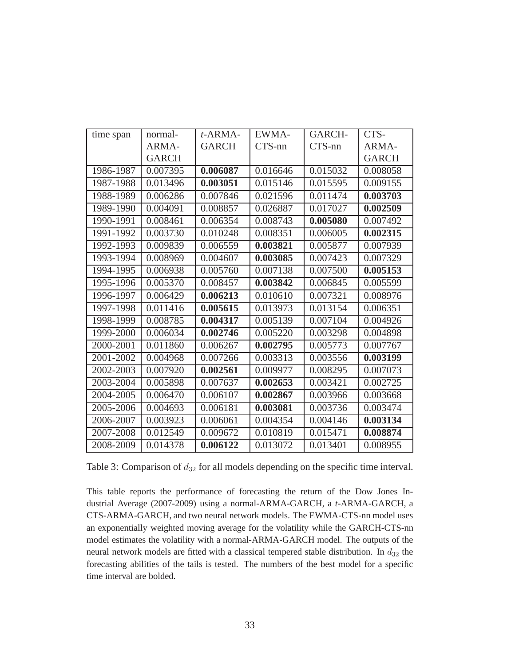| time span | normal-      | $t$ -ARMA-   | EWMA-    | GARCH-   | CTS-         |
|-----------|--------------|--------------|----------|----------|--------------|
|           | ARMA-        | <b>GARCH</b> | CTS-nn   | CTS-nn   | ARMA-        |
|           | <b>GARCH</b> |              |          |          | <b>GARCH</b> |
| 1986-1987 | 0.007395     | 0.006087     | 0.016646 | 0.015032 | 0.008058     |
| 1987-1988 | 0.013496     | 0.003051     | 0.015146 | 0.015595 | 0.009155     |
| 1988-1989 | 0.006286     | 0.007846     | 0.021596 | 0.011474 | 0.003703     |
| 1989-1990 | 0.004091     | 0.008857     | 0.026887 | 0.017027 | 0.002509     |
| 1990-1991 | 0.008461     | 0.006354     | 0.008743 | 0.005080 | 0.007492     |
| 1991-1992 | 0.003730     | 0.010248     | 0.008351 | 0.006005 | 0.002315     |
| 1992-1993 | 0.009839     | 0.006559     | 0.003821 | 0.005877 | 0.007939     |
| 1993-1994 | 0.008969     | 0.004607     | 0.003085 | 0.007423 | 0.007329     |
| 1994-1995 | 0.006938     | 0.005760     | 0.007138 | 0.007500 | 0.005153     |
| 1995-1996 | 0.005370     | 0.008457     | 0.003842 | 0.006845 | 0.005599     |
| 1996-1997 | 0.006429     | 0.006213     | 0.010610 | 0.007321 | 0.008976     |
| 1997-1998 | 0.011416     | 0.005615     | 0.013973 | 0.013154 | 0.006351     |
| 1998-1999 | 0.008785     | 0.004317     | 0.005139 | 0.007104 | 0.004926     |
| 1999-2000 | 0.006034     | 0.002746     | 0.005220 | 0.003298 | 0.004898     |
| 2000-2001 | 0.011860     | 0.006267     | 0.002795 | 0.005773 | 0.007767     |
| 2001-2002 | 0.004968     | 0.007266     | 0.003313 | 0.003556 | 0.003199     |
| 2002-2003 | 0.007920     | 0.002561     | 0.009977 | 0.008295 | 0.007073     |
| 2003-2004 | 0.005898     | 0.007637     | 0.002653 | 0.003421 | 0.002725     |
| 2004-2005 | 0.006470     | 0.006107     | 0.002867 | 0.003966 | 0.003668     |
| 2005-2006 | 0.004693     | 0.006181     | 0.003081 | 0.003736 | 0.003474     |
| 2006-2007 | 0.003923     | 0.006061     | 0.004354 | 0.004146 | 0.003134     |
| 2007-2008 | 0.012549     | 0.009672     | 0.010819 | 0.015471 | 0.008874     |
| 2008-2009 | 0.014378     | 0.006122     | 0.013072 | 0.013401 | 0.008955     |

Table 3: Comparison of  $d_{32}$  for all models depending on the specific time interval.

This table reports the performance of forecasting the return of the Dow Jones Industrial Average (2007-2009) using a normal-ARMA-GARCH, a *t*-ARMA-GARCH, a CTS-ARMA-GARCH, and two neural network models. The EWMA-CTS-nn model uses an exponentially weighted moving average for the volatility while the GARCH-CTS-nn model estimates the volatility with a normal-ARMA-GARCH model. The outputs of the neural network models are fitted with a classical tempered stable distribution. In  $d_{32}$  the forecasting abilities of the tails is tested. The numbers of the best model for a specific time interval are bolded.